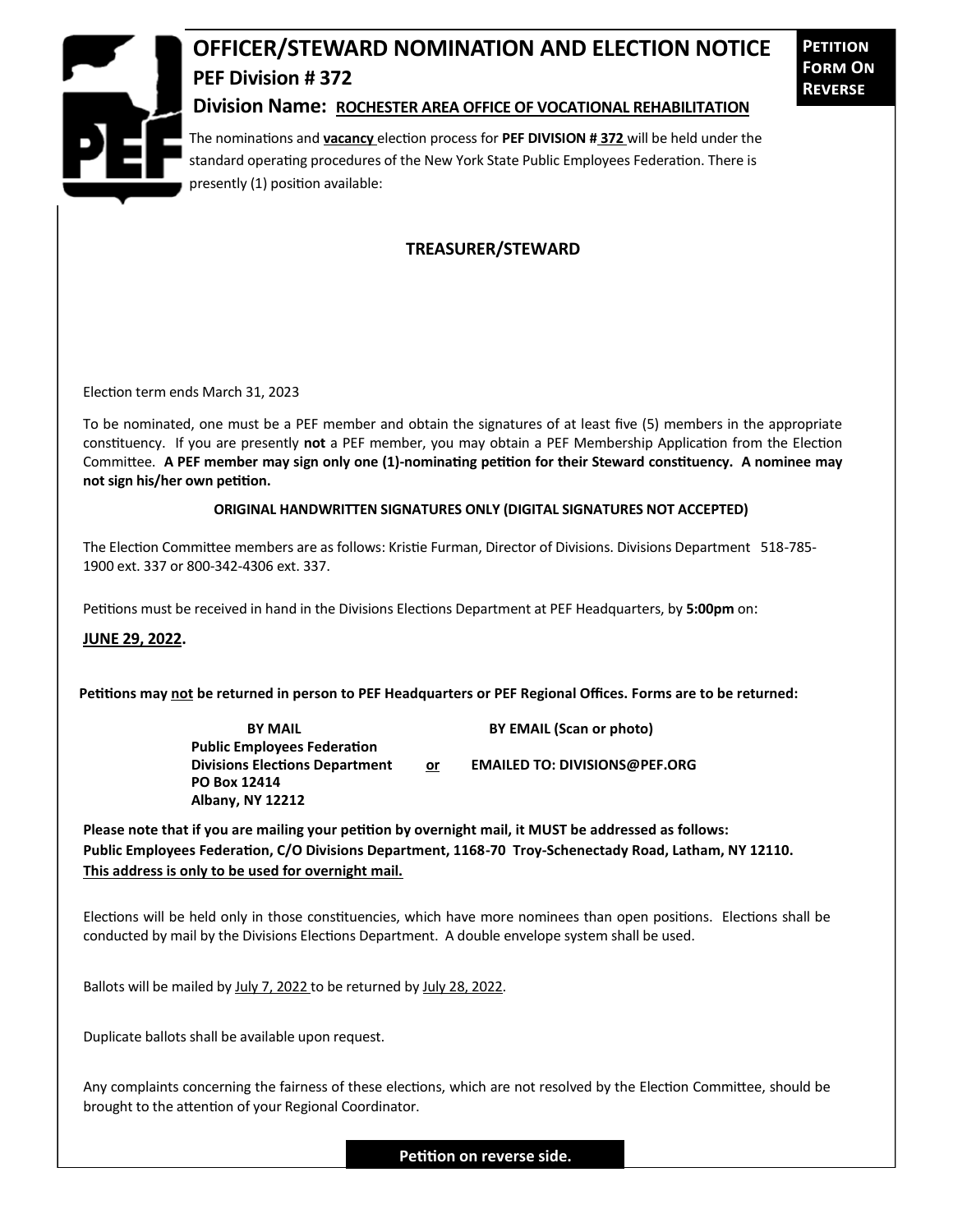

## **OFFICER/STEWARD NOMINATION AND ELECTION NOTICE PEF Division # 372**

**Petition Form On Reverse**

## **Division Name: ROCHESTER AREA OFFICE OF VOCATIONAL REHABILITATION**

The nominations and **vacancy** election process for **PEF DIVISION # 372** will be held under the standard operating procedures of the New York State Public Employees Federation. There is presently (1) position available:

## **TREASURER/STEWARD**

Election term ends March 31, 2023

To be nominated, one must be a PEF member and obtain the signatures of at least five (5) members in the appropriate constituency. If you are presently **not** a PEF member, you may obtain a PEF Membership Application from the Election Committee. **A PEF member may sign only one (1)-nominating petition for their Steward constituency. A nominee may not sign his/her own petition.**

## **ORIGINAL HANDWRITTEN SIGNATURES ONLY (DIGITAL SIGNATURES NOT ACCEPTED)**

The Election Committee members are as follows: Kristie Furman, Director of Divisions. Divisions Department 518-785- 1900 ext. 337 or 800-342-4306 ext. 337.

Petitions must be received in hand in the Divisions Elections Department at PEF Headquarters, by **5:00pm** on:

**JUNE 29, 2022.**

**Petitions may not be returned in person to PEF Headquarters or PEF Regional Offices. Forms are to be returned:**

**Public Employees Federation PO Box 12414 Albany, NY 12212**

**BY MAIL BY EMAIL (Scan or photo)** 

Divisions Elections Department or **EMAILED TO: DIVISIONS@PEF.ORG** 

**Please note that if you are mailing your petition by overnight mail, it MUST be addressed as follows: Public Employees Federation, C/O Divisions Department, 1168-70 Troy-Schenectady Road, Latham, NY 12110. This address is only to be used for overnight mail.**

Elections will be held only in those constituencies, which have more nominees than open positions. Elections shall be conducted by mail by the Divisions Elections Department. A double envelope system shall be used.

Ballots will be mailed by July 7, 2022 to be returned by July 28, 2022.

Duplicate ballots shall be available upon request.

Any complaints concerning the fairness of these elections, which are not resolved by the Election Committee, should be brought to the attention of your Regional Coordinator.

**Petition on reverse side.**